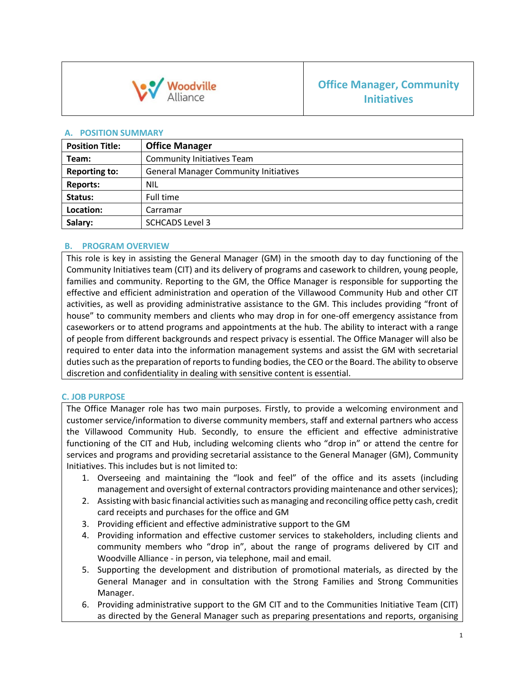

# **Office Manager, Community Initiatives**

#### **A. POSITION SUMMARY**

| <b>Position Title:</b> | <b>Office Manager</b>                        |  |
|------------------------|----------------------------------------------|--|
| Team:                  | <b>Community Initiatives Team</b>            |  |
| <b>Reporting to:</b>   | <b>General Manager Community Initiatives</b> |  |
| <b>Reports:</b>        | <b>NIL</b>                                   |  |
| Status:                | Full time                                    |  |
| Location:              | Carramar                                     |  |
| Salary:                | <b>SCHCADS Level 3</b>                       |  |

#### **B. PROGRAM OVERVIEW**

This role is key in assisting the General Manager (GM) in the smooth day to day functioning of the Community Initiatives team (CIT) and its delivery of programs and casework to children, young people, families and community. Reporting to the GM, the Office Manager is responsible for supporting the effective and efficient administration and operation of the Villawood Community Hub and other CIT activities, as well as providing administrative assistance to the GM. This includes providing "front of house" to community members and clients who may drop in for one-off emergency assistance from caseworkers or to attend programs and appointments at the hub. The ability to interact with a range of people from different backgrounds and respect privacy is essential. The Office Manager will also be required to enter data into the information management systems and assist the GM with secretarial duties such as the preparation of reports to funding bodies, the CEO or the Board. The ability to observe discretion and confidentiality in dealing with sensitive content is essential.

## **C. JOB PURPOSE**

The Office Manager role has two main purposes. Firstly, to provide a welcoming environment and customer service/information to diverse community members, staff and external partners who access the Villawood Community Hub. Secondly, to ensure the efficient and effective administrative functioning of the CIT and Hub, including welcoming clients who "drop in" or attend the centre for services and programs and providing secretarial assistance to the General Manager (GM), Community Initiatives. This includes but is not limited to:

- 1. Overseeing and maintaining the "look and feel" of the office and its assets (including management and oversight of external contractors providing maintenance and other services);
- 2. Assisting with basic financial activities such as managing and reconciling office petty cash, credit card receipts and purchases for the office and GM
- 3. Providing efficient and effective administrative support to the GM
- 4. Providing information and effective customer services to stakeholders, including clients and community members who "drop in", about the range of programs delivered by CIT and Woodville Alliance - in person, via telephone, mail and email.
- 5. Supporting the development and distribution of promotional materials, as directed by the General Manager and in consultation with the Strong Families and Strong Communities Manager.
- 6. Providing administrative support to the GM CIT and to the Communities Initiative Team (CIT) as directed by the General Manager such as preparing presentations and reports, organising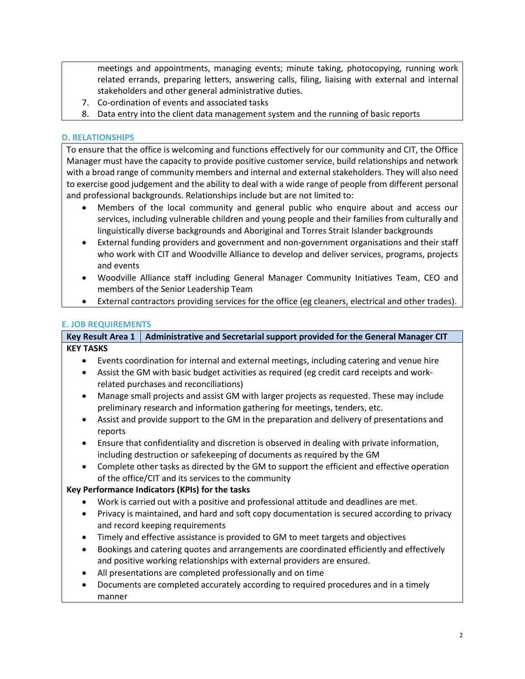meetings and appointments, managing events; minute taking, photocopying, running work related errands, preparing letters, answering calls, filing, liaising with external and internal stakeholders and other general administrative duties.

- 7. Co-ordination of events and associated tasks
- 8. Data entry into the client data management system and the running of basic reports

#### **D. RELATIONSHIPS**

To ensure that the office is welcoming and functions effectively for our community and CIT, the Office Manager must have the capacity to provide positive customer service, build relationships and network with a broad range of community members and internal and external stakeholders. They will also need to exercise good judgement and the ability to deal with a wide range of people from different personal and professional backgrounds. Relationships include but are not limited to:

- Members of the local community and general public who enquire about and access our services, including vulnerable children and young people and their families from culturally and linguistically diverse backgrounds and Aboriginal and Torres Strait Islander backgrounds
- External funding providers and government and non-government organisations and their staff who work with CIT and Woodville Alliance to develop and deliver services, programs, projects and events
- Woodville Alliance staff including General Manager Community Initiatives Team, CEO and members of the Senior Leadership Team
- External contractors providing services for the office (eg cleaners, electrical and other trades).

#### **E. JOB REQUIREMENTS**

#### **Key Result Area 1 Administrative and Secretarial support provided for the General Manager CIT**

#### **KEY TASKS**

- Events coordination for internal and external meetings, including catering and venue hire
- Assist the GM with basic budget activities as required (eg credit card receipts and workrelated purchases and reconciliations)
- Manage small projects and assist GM with larger projects as requested. These may include preliminary research and information gathering for meetings, tenders, etc.
- Assist and provide support to the GM in the preparation and delivery of presentations and reports
- Ensure that confidentiality and discretion is observed in dealing with private information, including destruction or safekeeping of documents as required by the GM
- Complete other tasks as directed by the GM to support the efficient and effective operation of the office/CIT and its services to the community

## **Key Performance Indicators (KPIs) for the tasks**

- Work is carried out with a positive and professional attitude and deadlines are met.
- Privacy is maintained, and hard and soft copy documentation is secured according to privacy and record keeping requirements
- Timely and effective assistance is provided to GM to meet targets and objectives
- Bookings and catering quotes and arrangements are coordinated efficiently and effectively and positive working relationships with external providers are ensured.
- All presentations are completed professionally and on time
- Documents are completed accurately according to required procedures and in a timely manner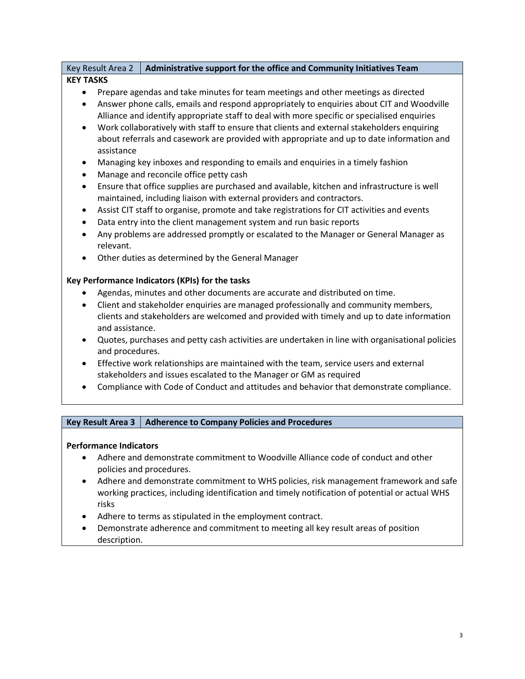#### Key Result Area 2 **Administrative support for the office and Community Initiatives Team KEY TASKS**

- Prepare agendas and take minutes for team meetings and other meetings as directed
- Answer phone calls, emails and respond appropriately to enquiries about CIT and Woodville Alliance and identify appropriate staff to deal with more specific or specialised enquiries
- Work collaboratively with staff to ensure that clients and external stakeholders enquiring about referrals and casework are provided with appropriate and up to date information and assistance
- Managing key inboxes and responding to emails and enquiries in a timely fashion
- Manage and reconcile office petty cash
- Ensure that office supplies are purchased and available, kitchen and infrastructure is well maintained, including liaison with external providers and contractors.
- Assist CIT staff to organise, promote and take registrations for CIT activities and events
- Data entry into the client management system and run basic reports
- Any problems are addressed promptly or escalated to the Manager or General Manager as relevant.
- Other duties as determined by the General Manager

## **Key Performance Indicators (KPIs) for the tasks**

- Agendas, minutes and other documents are accurate and distributed on time.
- Client and stakeholder enquiries are managed professionally and community members, clients and stakeholders are welcomed and provided with timely and up to date information and assistance.
- Quotes, purchases and petty cash activities are undertaken in line with organisational policies and procedures.
- Effective work relationships are maintained with the team, service users and external stakeholders and issues escalated to the Manager or GM as required
- Compliance with Code of Conduct and attitudes and behavior that demonstrate compliance.

## **Key Result Area 3 Adherence to Company Policies and Procedures**

## **Performance Indicators**

- Adhere and demonstrate commitment to Woodville Alliance code of conduct and other policies and procedures.
- Adhere and demonstrate commitment to WHS policies, risk management framework and safe working practices, including identification and timely notification of potential or actual WHS risks
- Adhere to terms as stipulated in the employment contract.
- Demonstrate adherence and commitment to meeting all key result areas of position description.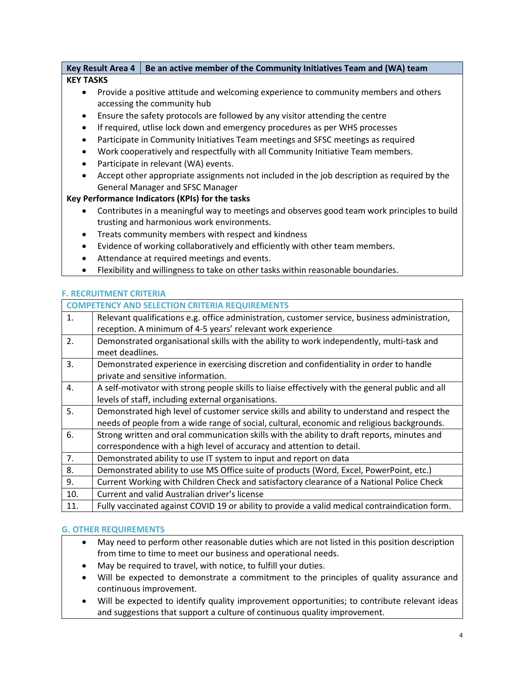#### **Key Result Area 4 Be an active member of the Community Initiatives Team and (WA) team KEY TASKS**

- Provide a positive attitude and welcoming experience to community members and others accessing the community hub
- Ensure the safety protocols are followed by any visitor attending the centre
- If required, utlise lock down and emergency procedures as per WHS processes
- Participate in Community Initiatives Team meetings and SFSC meetings as required
- Work cooperatively and respectfully with all Community Initiative Team members.
- Participate in relevant (WA) events.
- Accept other appropriate assignments not included in the job description as required by the General Manager and SFSC Manager

## **Key Performance Indicators (KPIs) for the tasks**

- Contributes in a meaningful way to meetings and observes good team work principles to build trusting and harmonious work environments.
- Treats community members with respect and kindness
- Evidence of working collaboratively and efficiently with other team members.
- Attendance at required meetings and events.
- Flexibility and willingness to take on other tasks within reasonable boundaries.

## **F. RECRUITMENT CRITERIA**

#### **COMPETENCY AND SELECTION CRITERIA REQUIREMENTS**

| $\mathbf{1}$ . | Relevant qualifications e.g. office administration, customer service, business administration,   |  |  |
|----------------|--------------------------------------------------------------------------------------------------|--|--|
|                | reception. A minimum of 4-5 years' relevant work experience                                      |  |  |
| 2.             | Demonstrated organisational skills with the ability to work independently, multi-task and        |  |  |
|                | meet deadlines.                                                                                  |  |  |
| 3.             | Demonstrated experience in exercising discretion and confidentiality in order to handle          |  |  |
|                | private and sensitive information.                                                               |  |  |
| 4.             | A self-motivator with strong people skills to liaise effectively with the general public and all |  |  |
|                | levels of staff, including external organisations.                                               |  |  |
| 5.             | Demonstrated high level of customer service skills and ability to understand and respect the     |  |  |
|                | needs of people from a wide range of social, cultural, economic and religious backgrounds.       |  |  |
| 6.             | Strong written and oral communication skills with the ability to draft reports, minutes and      |  |  |
|                | correspondence with a high level of accuracy and attention to detail.                            |  |  |
| 7.             | Demonstrated ability to use IT system to input and report on data                                |  |  |
| 8.             | Demonstrated ability to use MS Office suite of products (Word, Excel, PowerPoint, etc.)          |  |  |
| 9.             | Current Working with Children Check and satisfactory clearance of a National Police Check        |  |  |
| 10.            | Current and valid Australian driver's license                                                    |  |  |
| 11.            | Fully vaccinated against COVID 19 or ability to provide a valid medical contraindication form.   |  |  |

## **G. OTHER REQUIREMENTS**

- May need to perform other reasonable duties which are not listed in this position description from time to time to meet our business and operational needs.
- May be required to travel, with notice, to fulfill your duties.
- Will be expected to demonstrate a commitment to the principles of quality assurance and continuous improvement.
- Will be expected to identify quality improvement opportunities; to contribute relevant ideas and suggestions that support a culture of continuous quality improvement.